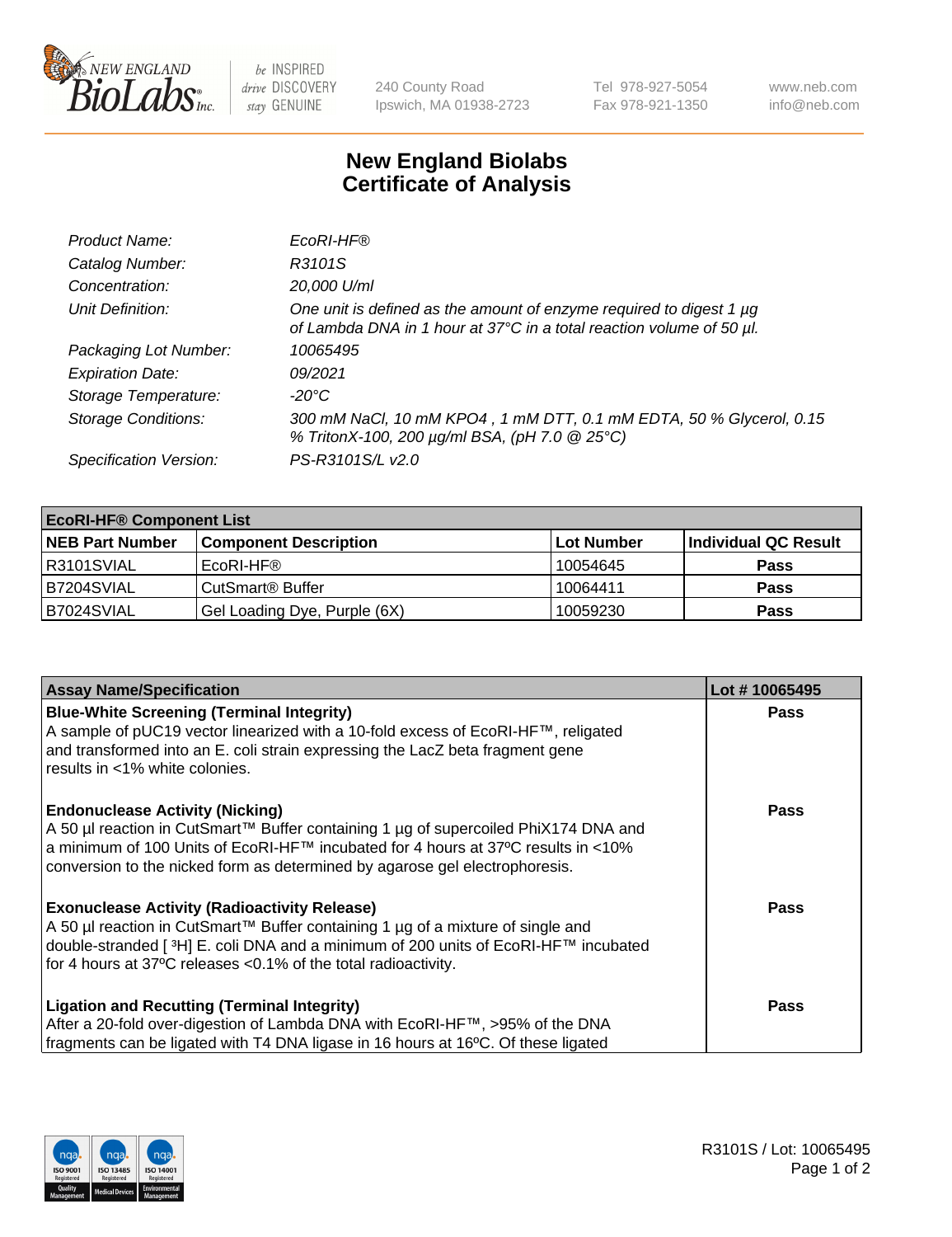

 $be$  INSPIRED drive DISCOVERY stay GENUINE

240 County Road Ipswich, MA 01938-2723 Tel 978-927-5054 Fax 978-921-1350 www.neb.com info@neb.com

## **New England Biolabs Certificate of Analysis**

| Product Name:              | EcoRI-HF®                                                                                                                                   |
|----------------------------|---------------------------------------------------------------------------------------------------------------------------------------------|
| Catalog Number:            | R3101S                                                                                                                                      |
| Concentration:             | 20,000 U/ml                                                                                                                                 |
| Unit Definition:           | One unit is defined as the amount of enzyme required to digest 1 µg<br>of Lambda DNA in 1 hour at 37°C in a total reaction volume of 50 µl. |
| Packaging Lot Number:      | 10065495                                                                                                                                    |
| <b>Expiration Date:</b>    | 09/2021                                                                                                                                     |
| Storage Temperature:       | -20°C                                                                                                                                       |
| <b>Storage Conditions:</b> | 300 mM NaCl, 10 mM KPO4, 1 mM DTT, 0.1 mM EDTA, 50 % Glycerol, 0.15<br>% TritonX-100, 200 µg/ml BSA, (pH 7.0 @ 25°C)                        |
| Specification Version:     | PS-R3101S/L v2.0                                                                                                                            |

| <b>EcoRI-HF® Component List</b> |                              |                   |                      |  |  |
|---------------------------------|------------------------------|-------------------|----------------------|--|--|
| <b>NEB Part Number</b>          | <b>Component Description</b> | <b>Lot Number</b> | Individual QC Result |  |  |
| R3101SVIAL                      | EcoRI-HF®                    | 10054645          | <b>Pass</b>          |  |  |
| B7204SVIAL                      | CutSmart <sup>®</sup> Buffer | 10064411          | <b>Pass</b>          |  |  |
| B7024SVIAL                      | Gel Loading Dye, Purple (6X) | 10059230          | <b>Pass</b>          |  |  |

| <b>Assay Name/Specification</b>                                                                                                                                                    | Lot #10065495 |
|------------------------------------------------------------------------------------------------------------------------------------------------------------------------------------|---------------|
| <b>Blue-White Screening (Terminal Integrity)</b><br>A sample of pUC19 vector linearized with a 10-fold excess of EcoRI-HF™, religated                                              | <b>Pass</b>   |
| and transformed into an E. coli strain expressing the LacZ beta fragment gene<br>results in <1% white colonies.                                                                    |               |
| <b>Endonuclease Activity (Nicking)</b><br>A 50 µl reaction in CutSmart™ Buffer containing 1 µg of supercoiled PhiX174 DNA and                                                      | <b>Pass</b>   |
| a minimum of 100 Units of EcoRI-HF™ incubated for 4 hours at 37°C results in <10%<br>conversion to the nicked form as determined by agarose gel electrophoresis.                   |               |
| <b>Exonuclease Activity (Radioactivity Release)</b>                                                                                                                                | Pass          |
| A 50 µl reaction in CutSmart™ Buffer containing 1 µg of a mixture of single and<br>double-stranded [ <sup>3</sup> H] E. coli DNA and a minimum of 200 units of EcoRI-HF™ incubated |               |
| for 4 hours at 37°C releases <0.1% of the total radioactivity.                                                                                                                     |               |
| <b>Ligation and Recutting (Terminal Integrity)</b>                                                                                                                                 | <b>Pass</b>   |
| After a 20-fold over-digestion of Lambda DNA with EcoRI-HF™, >95% of the DNA                                                                                                       |               |
| fragments can be ligated with T4 DNA ligase in 16 hours at 16°C. Of these ligated                                                                                                  |               |